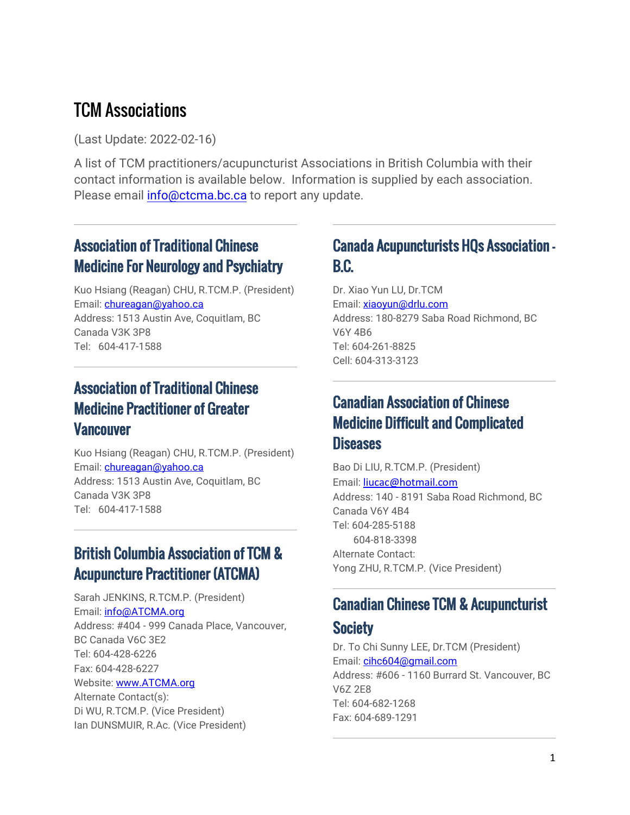# TCM Associations

(Last Update: 2022-02-16)

A list of TCM practitioners/acupuncturist Associations in British Columbia with their contact information is available below. Information is supplied by each association. Please email [info@ctcma.bc.ca](mailto:info@ctcma.bc.ca) to report any update.

# Association of Traditional Chinese Medicine For Neurology and Psychiatry

Kuo Hsiang (Reagan) CHU, R.TCM.P. (President) Email: *chureagan@yahoo.ca* Address: 1513 Austin Ave, Coquitlam, BC Canada V3K 3P8 Tel: 604-417-1588

### Association of Traditional Chinese Medicine Practitioner of Greater **Vancouver**

Kuo Hsiang (Reagan) CHU, R.TCM.P. (President) Email: *chureagan@yahoo.ca* Address: 1513 Austin Ave, Coquitlam, BC Canada V3K 3P8 Tel: 604-417-1588

# British Columbia Association of TCM & Acupuncture Practitioner (ATCMA)

Sarah JENKINS, R.TCM.P. (President) Email: [info@ATCMA.org](mailto:info@ATCMA.org) Address: #404 - 999 Canada Place, Vancouver, BC Canada V6C 3E2 Tel: 604-428-6226 Fax: 604-428-6227 Website: [www.ATCMA.org](http://www.atcma.org/)

Alternate Contact(s): Di WU, R.TCM.P. (Vice President) Ian DUNSMUIR, R.Ac. (Vice President)

# Canada Acupuncturists HQs Association – B.C.

Dr. Xiao Yun LU, Dr.TCM Email: [xiaoyun@drlu.com](mailto:xiaoyun@drlu.com) Address: 180-8279 Saba Road Richmond, BC V6Y 4B6 Tel: 604-261-8825 Cell: 604-313-3123

# Canadian Association of Chinese Medicine Difficult and Complicated **Diseases**

Bao Di LIU, R.TCM.P. (President) Email: [liucac@hotmail.com](mailto:liucac@hotmail.com) Address: 140 - 8191 Saba Road Richmond, BC Canada V6Y 4B4 Tel: 604-285-5188 604-818-3398 Alternate Contact: Yong ZHU, R.TCM.P. (Vice President)

### Canadian Chinese TCM & Acupuncturist

### **Society**

Dr. To Chi Sunny LEE, Dr.TCM (President) Email: [cihc604@gmail.com](mailto:cihc604@gmail.com) Address: #606 - 1160 Burrard St. Vancouver, BC V6Z 2E8 Tel: 604-682-1268 Fax: 604-689-1291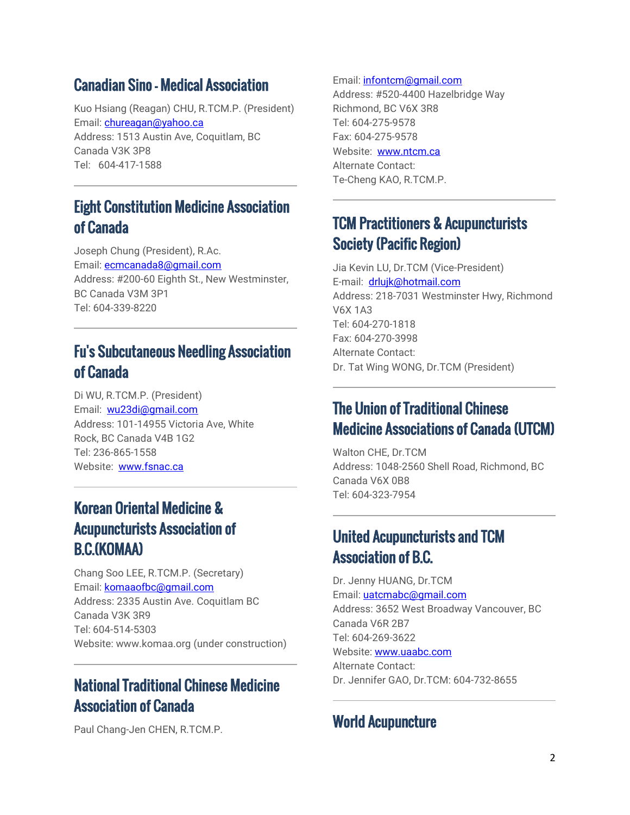#### Canadian Sino – Medical Association

Kuo Hsiang (Reagan) CHU, R.TCM.P. (President) Email: *chureagan@yahoo.ca* Address: 1513 Austin Ave, Coquitlam, BC Canada V3K 3P8 Tel: 604-417-1588

### Eight Constitution Medicine Association of Canada

Joseph Chung (President), R.Ac. Email[: ecmcanada8@gmail.com](mailto:ecmcanada8@gmail.com) Address: #200-60 Eighth St., New Westminster, BC Canada V3M 3P1 Tel: 604-339-8220

# Fu's Subcutaneous Needling Association of Canada

Di WU, R.TCM.P. (President) Email: [wu23di@gmail.com](mailto:wu23di@gmail.com) Address: 101-14955 Victoria Ave, White Rock, BC Canada V4B 1G2 Tel: 236-865-1558 Website: [www.fsnac.ca](http://www.fsnac.ca/)

# Korean Oriental Medicine & Acupuncturists Association of B.C.(KOMAA)

Chang Soo LEE, R.TCM.P. (Secretary) Email: [komaaofbc@gmail.com](mailto:komaaofbc@gmail.com) Address: 2335 Austin Ave. Coquitlam BC Canada V3K 3R9 Tel: 604-514-5303 Website: www.komaa.org (under construction)

# National Traditional Chinese Medicine Association of Canada

Paul Chang-Jen CHEN, R.TCM.P.

#### Email: *[infontcm@gmail.com](mailto:infontcm@gmail.com)*

Address: #520-4400 Hazelbridge Way Richmond, BC V6X 3R8 Tel: 604-275-9578 Fax: 604-275-9578 Website: [www.ntcm.ca](http://www.ntcm.ca/) Alternate Contact: Te-Cheng KAO, R.TCM.P.

# TCM Practitioners & Acupuncturists Society (Pacific Region)

Jia Kevin LU, Dr.TCM (Vice-President) E-mail: [drlujk@hotmail.com](mailto:drlujk@hotmail.com) Address: 218-7031 Westminster Hwy, Richmond V6X 1A3 Tel: 604-270-1818 Fax: 604-270-3998 Alternate Contact: Dr. Tat Wing WONG, Dr.TCM (President)

#### The Union of Traditional Chinese Medicine Associations of Canada (UTCM)

Walton CHE, Dr.TCM Address: 1048-2560 Shell Road, Richmond, BC Canada V6X 0B8 Tel: 604-323-7954

#### United Acupuncturists and TCM Association of B.C.

Dr. Jenny HUANG, Dr.TCM Email: [uatcmabc@gmail.com](mailto:uatcmabc@gmail.com) Address: 3652 West Broadway Vancouver, BC Canada V6R 2B7 Tel: 604-269-3622 Website: [www.uaabc.com](http://www.uaabc.com/) Alternate Contact: Dr. Jennifer GAO, Dr.TCM: 604-732-8655

### World Acupuncture